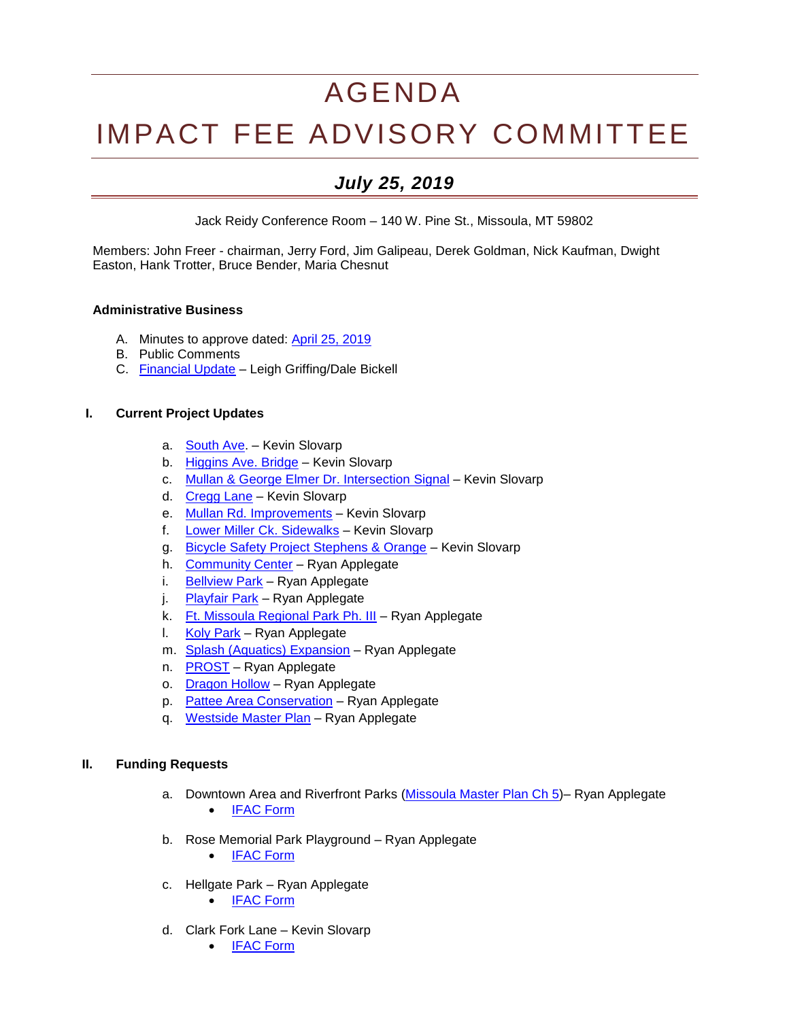# AGENDA

# IMPACT FEE ADVISORY COMMITTEE

# *July 25, 2019*

Jack Reidy Conference Room – 140 W. Pine St., Missoula, MT 59802

Members: John Freer - chairman, Jerry Ford, Jim Galipeau, Derek Goldman, Nick Kaufman, Dwight Easton, Hank Trotter, Bruce Bender, Maria Chesnut

#### **Administrative Business**

- A. Minutes to approve dated: [April 25, 2019](http://ci.missoula.mt.us/Archive.aspx?ADID=14137)
- B. Public Comments
- C. [Financial Update](https://www.ci.missoula.mt.us/DocumentCenter/View/50238/IFAC-Financials-07-25-2019) Leigh Griffing/Dale Bickell

#### **I. Current Project Updates**

- a. [South Ave.](https://www.ci.missoula.mt.us/DocumentCenter/View/39239) Kevin Slovarp
- b. [Higgins Ave. Bridge](https://www.ci.missoula.mt.us/DocumentCenter/View/46583/DS---Higgins-Street-Bridge-Improvements) Kevin Slovarp
- c. [Mullan & George Elmer Dr. Intersection](https://www.ci.missoula.mt.us/DocumentCenter/View/39234) Signal Kevin Slovarp
- d. [Cregg Lane](https://www.ci.missoula.mt.us/DocumentCenter/View/41366) Kevin Slovarp
- e. [Mullan Rd. Improvements](https://www.ci.missoula.mt.us/DocumentCenter/View/46585/DS---Mullan-Rd-Reconstruction) Kevin Slovarp
- f. [Lower Miller Ck. Sidewalks](https://www.ci.missoula.mt.us/DocumentCenter/View/46584/DS---Lower-Miller-Creek-Road-LVB-to-Bigfork) Kevin Slovarp
- g. [Bicycle Safety Project Stephens & Orange](https://www.ci.missoula.mt.us/DocumentCenter/View/49308/Bicycle-Safety-Project---Stephens-Orange) Kevin Slovarp
- h. [Community Center](https://www.ci.missoula.mt.us/DocumentCenter/View/33701) Ryan Applegate
- i. [Bellview](http://mt-missoula2.civicplus.com/DocumentCenter/View/32600) Park Ryan Applegate
- j. [Playfair Park](https://www.ci.missoula.mt.us/DocumentCenter/View/46591/PandR---PlayFair-Park) Ryan Applegate
- k. [Ft. Missoula Regional Park Ph. III](https://www.ci.missoula.mt.us/DocumentCenter/View/46587/PandR---Ft-Msla-Regional-Park-Phase-3) Ryan Applegate
- l. [Koly Park](https://www.ci.missoula.mt.us/DocumentCenter/View/46589/PandR---Clark-Fork-Bridge-West) Ryan Applegate
- m. [Splash \(Aquatics\) Expansion](https://www.ci.missoula.mt.us/DocumentCenter/View/46586/Pand-R---Aquatics-Revenue-Generation) Ryan Applegate
- n. [PROST](https://www.ci.missoula.mt.us/DocumentCenter/View/46592/PandR---PROST-Plan) Ryan Applegate
- o. [Dragon Hollow](https://www.ci.missoula.mt.us/DocumentCenter/View/48283/PandR-Impact-fee--Application-Dragon-Hollow) Ryan Applegate
- p. [Pattee Area Conservation](https://www.ci.missoula.mt.us/DocumentCenter/View/48278/PandR--App-Pattee-Area-Conservation) Ryan Applegate
- q. [Westside Master Plan](https://www.ci.missoula.mt.us/DocumentCenter/View/48285/PandR-westside-impact-fee-application) Ryan Applegate

#### **II. Funding Requests**

- a. Downtown Area and Riverfront Parks [\(Missoula Master Plan Ch 5\)](https://www.ci.missoula.mt.us/DocumentCenter/View/50057/Missoula-Master-Plan_Ch5_070419) Ryan Applegate • [IFAC Form](https://www.ci.missoula.mt.us/DocumentCenter/View/50058/Downtown-application-Impact-Fee--Application)
- b. Rose Memorial Park Playground Ryan Applegate
	- [IFAC Form](https://www.ci.missoula.mt.us/DocumentCenter/View/50059/Rose-Memorial-PG-impact-fee-application)
- c. Hellgate Park Ryan Applegate
	- [IFAC Form](https://www.ci.missoula.mt.us/DocumentCenter/View/50237/Hellgate-Park-Impact-fee--Application)
- d. Clark Fork Lane Kevin Slovarp
	- [IFAC Form](https://www.ci.missoula.mt.us/DocumentCenter/View/50192/Clark-Fork-Lane-Roadway-Extension-Impact-Fee-application)